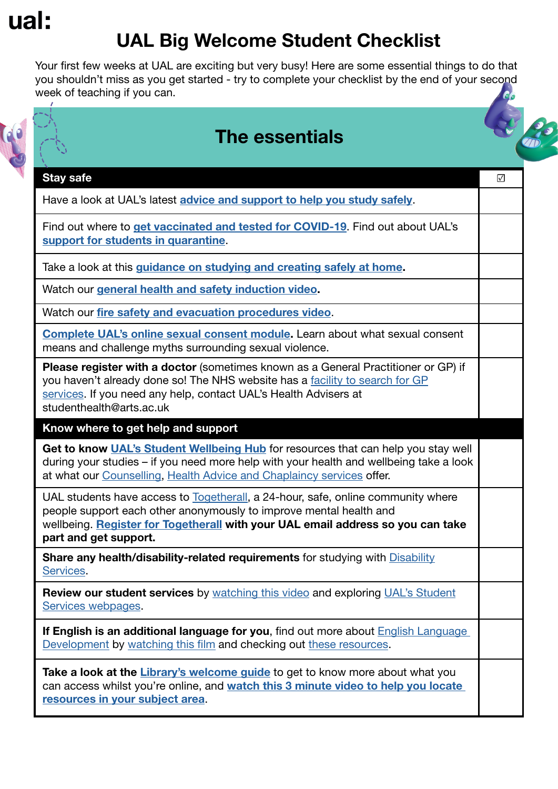# ual:

## UAL Big Welcome Student Checklist

Your first few weeks at UAL are exciting but very busy! Here are some essential things to do that you shouldn't miss as you get started - try to complete your checklist by the end of your second week of teaching if you can.





#### Stay safe ☑

Have a look at UAL's latest [advice and support to help you study safely](https://www.arts.ac.uk/coronavirus-important-guidance).

Find out where to [get vaccinated and tested for COVID-19](https://www.arts.ac.uk/coronavirus-important-guidance/get-a-covid-19-test). Find out about UAL's [support for students in quarantine](https://www.arts.ac.uk/coronavirus-important-guidance/support-for-students-in-quarantine).

Take a look at this [guidance on studying and creating safely at home.](https://www.arts.ac.uk/coronavirus-important-guidance/studying-and-creating-safely-at-home-for-ual-students)

Watch our [general health and safety induction video.](https://www.youtube.com/watch?v=w7Vh_XeovfA)

Watch our [fire safety and evacuation procedures video](https://www.youtube.com/watch?v=wC2-3VRJJ78).

[Complete UAL's online sexual consent module.](https://academicsupportonline.arts.ac.uk/user/login?destination=/learning-resources/20187) Learn about what sexual consent means and challenge myths surrounding sexual violence.

Please register with a doctor (sometimes known as a General Practitioner or GP) if you haven't already done so! The NHS website has a [facility to search for GP](https://www.nhs.uk/service-search/find-a-GP) [services](https://www.nhs.uk/service-search/find-a-GP). If you need any help, contact UAL's Health Advisers at studenthealth@arts.ac.uk

Know where to get help and support

Get to know [UAL's Student Wellbeing Hub](https://www.arts.ac.uk/students/wellbeing) for resources that can help you stay well during your studies – if you need more help with your health and wellbeing take a look at what our [Counselling](https://www.arts.ac.uk/students/student-services/counselling-health-advice-and-chaplaincy), [Health Advice and Chaplaincy services](https://www.arts.ac.uk/students/student-services/counselling-health-advice-and-chaplaincy) offer.

UAL students have access to [Togetherall](https://togetherall.com/en-gb/), a 24-hour, safe, online community where people support each other anonymously to improve mental health and wellbeing. [Register for Togetherall](https://account.v2.togetherall.com/log-in?continue=https%3A%2F%2Faccount.v2.togetherall.com%2Fregister%2Fstudent) with your UAL email address so you can take part and get support.

Share any health/disability-related requirements for studying with [Disability](https://www.arts.ac.uk/students/student-services/disability-and-dyslexia/disability-and-dyslexia-what-to-expect) [Services](https://www.arts.ac.uk/students/student-services/disability-and-dyslexia/disability-and-dyslexia-what-to-expect).

Review our student services by [watching this video](https://www.youtube.com/watch?v=_XHJQ8j7OsU) and exploring [UAL's Student](https://www.arts.ac.uk/students/student-services) [Services webpages](https://www.arts.ac.uk/students/student-services).

If English is an additional language for you, find out more about English Language [Development](https://www.arts.ac.uk/study-at-ual/language-centre/english-language-development-for-ual-students/academic-english-skills) by [watching this film](https://www.youtube.com/watch?v=vhR_5RfHNu0) and checking out [these resources](https://www.arts.ac.uk/study-at-ual/language-centre/english-language-development-for-ual-students/academic-english-skills).

Take a look at the Library's welcome quide to get to know more about what you can access whilst you're online, and [watch this 3 minute video](https://vimeo.com/606542924) to help you locate [resources in your subject area](https://vimeo.com/606542924).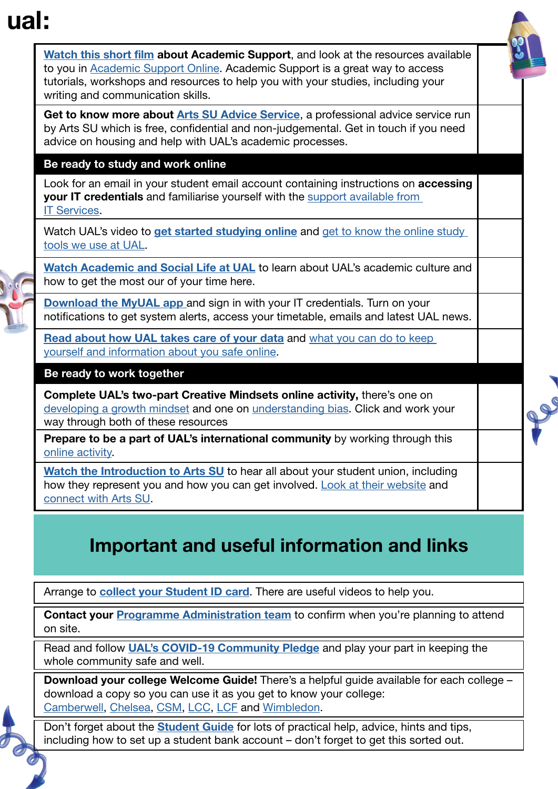## ual:



## Important and useful information and links

Arrange to **[collect your Student ID card](https://www.arts.ac.uk/study-at-ual/how-to-enrol/student-id-card-collection)**. There are useful videos to help you.

Contact your [Programme Administration team](https://www.arts.ac.uk/__data/assets/pdf_file/0035/296594/UAL_Programme_Administration_Contacts.pdf) to confirm when you're planning to attend on site.

Read and follow **[UAL's COVID-19 Community Pledge](https://www.arts.ac.uk/students/stories/our-covid-19-community-pledge)** and play your part in keeping the whole community safe and well.

Download your college Welcome Guide! There's a helpful guide available for each college download a copy so you can use it as you get to know your college: [Camberwell,](https://www.arts.ac.uk/__data/assets/pdf_file/0019/307054/Camberwell-Student-Guide-2021.pdf) [Chelsea,](https://www.arts.ac.uk/students/bigwelcome/chelsea) [CSM](https://www.arts.ac.uk/__data/assets/pdf_file/0024/307068/Big-Welcome-part-2-CSM-guide-V2-compressed.pdf), [LCC,](https://www.arts.ac.uk/__data/assets/pdf_file/0026/307277/Big-Welcome-part-2-LCC-guide-1-compressed.pdf) [LCF](https://www.arts.ac.uk/__data/assets/pdf_file/0024/307059/LCF-Student-Guide-2021.pdf) and [Wimbledon](https://www.arts.ac.uk/__data/assets/pdf_file/0018/307053/Wimbledon-Student-Guide-2021.pdf).

Don't forget about the **[Student Guide](https://www.arts.ac.uk/__data/assets/pdf_file/0021/293511/UAL-Student-Guide-2021.pdf)** for lots of practical help, advice, hints and tips, including how to set up a student bank account – don't forget to get this sorted out.